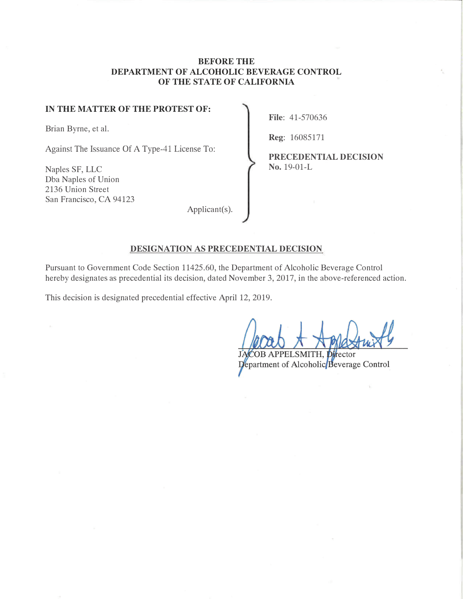## **BEFORE THE DEPARTMENT OF ALCOHOLIC BEVERAGE CONTROL OF THE STATE OF CALIFORNIA**

#### IN THE MATTER OF THE PROTEST OF:

Brian Byrne, et al.

Naples SF, LLC Dba Naples of Union 2136 Union Street San Francisco, CA 94123 **File:** 41-570636

Reg: 16085171

Against The Issuance Of A Type-41 License To:<br> **PRECEDENTIAL DECISION**<br> **PRECEDENTIAL DECISION**<br> **PRECEDENTIAL DECISION** 

Applicant(s) G

#### **DESIGNATION AS PRECEDENTIAL DECISION**

Pursuant to Government Code Section 11425.60, the Department of Alcoholic Beverage Control hereby designates as precedential its decision, dated November 3, 2017, in the above-referenced action.

This decision is designated precedential effective April 12, 2019.

ector

Department of Alcoholic Beverage Control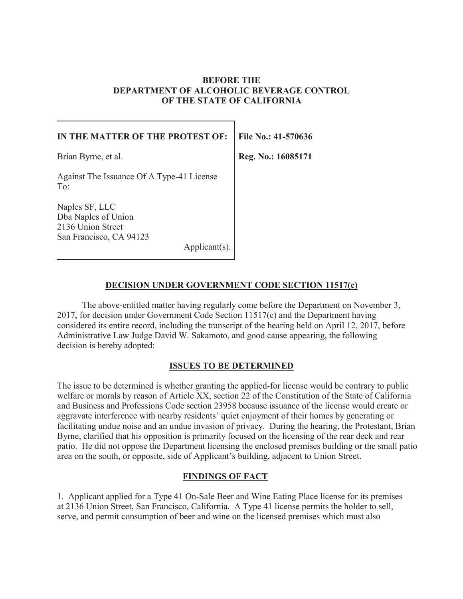## **BEFORE THE DEPARTMENT OF ALCOHOLIC BEVERAGE CONTROL OF THE STATE OF CALIFORNIA**

| IN THE MATTER OF THE PROTEST OF:                                                                      | File No.: 41-570636 |
|-------------------------------------------------------------------------------------------------------|---------------------|
| Brian Byrne, et al.                                                                                   | Reg. No.: 16085171  |
| Against The Issuance Of A Type-41 License<br>To:                                                      |                     |
| Naples SF, LLC<br>Dba Naples of Union<br>2136 Union Street<br>San Francisco, CA 94123<br>Applicant(s) |                     |
|                                                                                                       |                     |

## **DECISION UNDER GOVERNMENT CODE SECTION 11517(c)**

The above-entitled matter having regularly come before the Department on November 3, 2017, for decision under Government Code Section 11517(c) and the Department having considered its entire record, including the transcript of the hearing held on April 12, 2017, before Administrative Law Judge David W. Sakamoto, and good cause appearing, the following decision is hereby adopted:

### **ISSUES TO BE DETERMINED**

The issue to be determined is whether granting the applied-for license would be contrary to public welfare or morals by reason of Article XX, section 22 of the Constitution of the State of California and Business and Professions Code section 23958 because issuance of the license would create or aggravate interference with nearby residents' quiet enjoyment of their homes by generating or facilitating undue noise and an undue invasion of privacy. During the hearing, the Protestant, Brian Byrne, clarified that his opposition is primarily focused on the licensing of the rear deck and rear patio. He did not oppose the Department licensing the enclosed premises building or the small patio area on the south, or opposite, side of Applicant's building, adjacent to Union Street.

### **FINDINGS OF FACT**

1. Applicant applied for a Type 41 On-Sale Beer and Wine Eating Place license for its premises at 2136 Union Street, San Francisco, California. A Type 41 license permits the holder to sell, serve, and permit consumption of beer and wine on the licensed premises which must also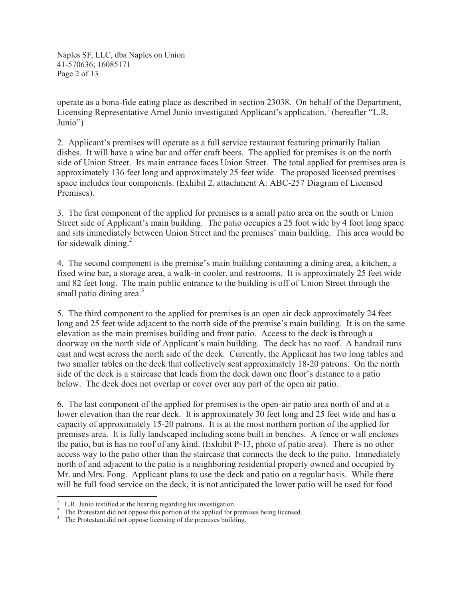Naples SF, LLC, dba Naples on Union 41-570636; 16085171 Page 2 of 13

operate as a bona-fide eating place as described in section 23038. On behalf of the Department, Licensing Representative Arnel Junio investigated Applicant's application.<sup>1</sup> (hereafter "L.R. Junio")

2. Applicant's premises will operate as a full service restaurant featuring primarily Italian dishes. It will have a wine bar and offer craft beers. The applied for premises is on the north side of Union Street. Its main entrance faces Union Street. The total applied for premises area is approximately 136 feet long and approximately 25 feet wide. The proposed licensed premises space includes four components. (Exhibit 2, attachment A: ABC-257 Diagram of Licensed Premises).

3. The first component of the applied for premises is a small patio area on the south or Union Street side of Applicant's main building. The patio occupies a 25 foot wide by 4 foot long space and sits immediately between Union Street and the premises' main building. This area would be for sidewalk dining. $^{2}$ 

4. The second component is the premise's main building containing a dining area, a kitchen, a fixed wine bar, a storage area, a walk-in cooler, and restrooms. It is approximately 25 feet wide and 82 feet long. The main public entrance to the building is off of Union Street through the small patio dining area. $3$ 

5. The third component to the applied for premises is an open air deck approximately 24 feet long and 25 feet wide adjacent to the north side of the premise's main building. It is on the same elevation as the main premises building and front patio. Access to the deck is through a doorway on the north side of Applicant's main building. The deck has no roof. A handrail runs east and west across the north side of the deck. Currently, the Applicant has two long tables and two smaller tables on the deck that collectively seat approximately 18-20 patrons. On the north side of the deck is a staircase that leads from the deck down one floor's distance to a patio below. The deck does not overlap or cover over any part of the open air patio.

6. The last component of the applied for premises is the open-air patio area north of and at a lower elevation than the rear deck. It is approximately 30 feet long and 25 feet wide and has a capacity of approximately 15-20 patrons. It is at the most northern portion of the applied for premises area. It is fully landscaped including some built in benches. A fence or wall encloses the patio, but is has no roof of any kind. (Exhibit P-13, photo of patio area). There is no other access way to the patio other than the staircase that connects the deck to the patio. Immediately north of and adjacent to the patio is a neighboring residential property owned and occupied by Mr. and Mrs. Fong. Applicant plans to use the deck and patio on a regular basis. While there will be full food service on the deck, it is not anticipated the lower patio will be used for food

<sup>&</sup>lt;sup>1</sup> L.R. Junio testified at the hearing regarding his investigation.<br><sup>2</sup> The Protestant did not oppose this portion of the applied for premises being licensed.<br><sup>3</sup> The Protestant did not oppose licensing of the premises b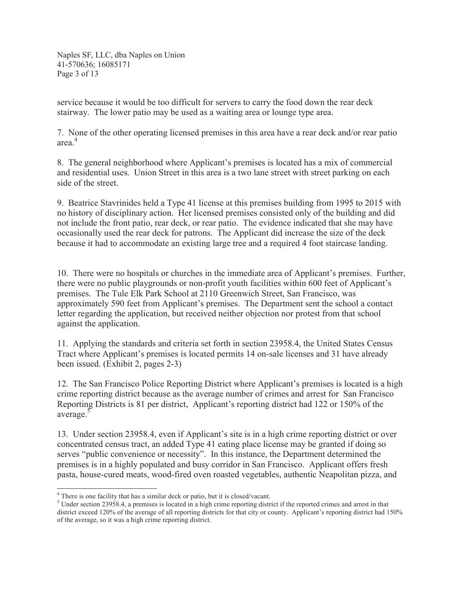Naples SF, LLC, dba Naples on Union 41-570636; 16085171 Page 3 of 13

service because it would be too difficult for servers to carry the food down the rear deck stairway. The lower patio may be used as a waiting area or lounge type area.

4 area. 7. None of the other operating licensed premises in this area have a rear deck and/or rear patio

8. The general neighborhood where Applicant's premises is located has a mix of commercial and residential uses. Union Street in this area is a two lane street with street parking on each side of the street.

9. Beatrice Stavrinides held a Type 41 license at this premises building from 1995 to 2015 with no history of disciplinary action. Her licensed premises consisted only of the building and did not include the front patio, rear deck, or rear patio. The evidence indicated that she may have occasionally used the rear deck for patrons. The Applicant did increase the size of the deck because it had to accommodate an existing large tree and a required 4 foot staircase landing.

10. There were no hospitals or churches in the immediate area of Applicant's premises. Further, there were no public playgrounds or non-profit youth facilities within 600 feet of Applicant's premises. The Tule Elk Park School at 2110 Greenwich Street, San Francisco, was approximately 590 feet from Applicant's premises. The Department sent the school a contact letter regarding the application, but received neither objection nor protest from that school against the application.

11. Applying the standards and criteria set forth in section 23958.4, the United States Census Tract where Applicant's premises is located permits 14 on-sale licenses and 31 have already been issued. (Exhibit 2, pages 2-3)

12. The San Francisco Police Reporting District where Applicant's premises is located is a high crime reporting district because as the average number of crimes and arrest for San Francisco Reporting Districts is 81 per district, Applicant's reporting district had 122 or 150% of the average.<sup>5</sup>

13. Under section 23958.4, even if Applicant's site is in a high crime reporting district or over concentrated census tract, an added Type 41 eating place license may be granted if doing so serves "public convenience or necessity". In this instance, the Department determined the premises is in a highly populated and busy corridor in San Francisco. Applicant offers fresh pasta, house-cured meats, wood-fired oven roasted vegetables, authentic Neapolitan pizza, and

<sup>4</sup> There is one facility that has a similar deck or patio, but it is closed/vacant.

 $5$  Under section 23958.4, a premises is located in a high crime reporting district if the reported crimes and arrest in that district exceed 120% of the average of all reporting districts for that city or county. Applicant's reporting district had 150% of the average, so it was a high crime reporting district.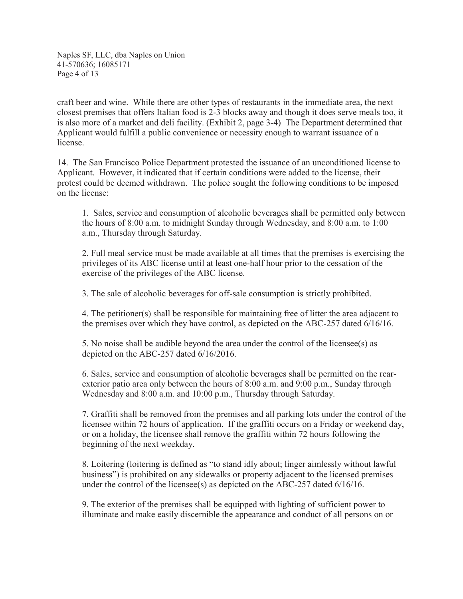Naples SF, LLC, dba Naples on Union 41-570636; 16085171 Page 4 of 13

craft beer and wine. While there are other types of restaurants in the immediate area, the next closest premises that offers Italian food is 2-3 blocks away and though it does serve meals too, it is also more of a market and deli facility. (Exhibit 2, page 3-4) The Department determined that Applicant would fulfill a public convenience or necessity enough to warrant issuance of a license.

14. The San Francisco Police Department protested the issuance of an unconditioned license to Applicant. However, it indicated that if certain conditions were added to the license, their protest could be deemed withdrawn. The police sought the following conditions to be imposed on the license:

1. Sales, service and consumption of alcoholic beverages shall be permitted only between the hours of 8:00 a.m. to midnight Sunday through Wednesday, and 8:00 a.m. to 1:00 a.m., Thursday through Saturday.

2. Full meal service must be made available at all times that the premises is exercising the privileges of its ABC license until at least one-half hour prior to the cessation of the exercise of the privileges of the ABC license.

3. The sale of alcoholic beverages for off-sale consumption is strictly prohibited.

4. The petitioner(s) shall be responsible for maintaining free of litter the area adjacent to the premises over which they have control, as depicted on the ABC-257 dated 6/16/16.

5. No noise shall be audible beyond the area under the control of the licensee(s) as depicted on the ABC-257 dated 6/16/2016.

6. Sales, service and consumption of alcoholic beverages shall be permitted on the rearexterior patio area only between the hours of 8:00 a.m. and 9:00 p.m., Sunday through Wednesday and 8:00 a.m. and 10:00 p.m., Thursday through Saturday.

7. Graffiti shall be removed from the premises and all parking lots under the control of the licensee within 72 hours of application. If the graffiti occurs on a Friday or weekend day, or on a holiday, the licensee shall remove the graffiti within 72 hours following the beginning of the next weekday.

8. Loitering (loitering is defined as "to stand idly about; linger aimlessly without lawful business") is prohibited on any sidewalks or property adjacent to the licensed premises under the control of the licensee(s) as depicted on the ABC-257 dated 6/16/16.

9. The exterior of the premises shall be equipped with lighting of sufficient power to illuminate and make easily discernible the appearance and conduct of all persons on or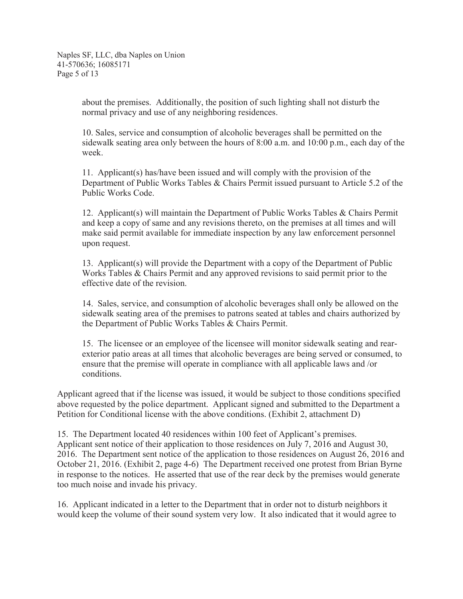Naples SF, LLC, dba Naples on Union 41-570636; 16085171 Page 5 of 13

> about the premises. Additionally, the position of such lighting shall not disturb the normal privacy and use of any neighboring residences.

10. Sales, service and consumption of alcoholic beverages shall be permitted on the sidewalk seating area only between the hours of 8:00 a.m. and 10:00 p.m., each day of the week.

11. Applicant(s) has/have been issued and will comply with the provision of the Department of Public Works Tables & Chairs Permit issued pursuant to Article 5.2 of the Public Works Code.

12. Applicant(s) will maintain the Department of Public Works Tables & Chairs Permit and keep a copy of same and any revisions thereto, on the premises at all times and will make said permit available for immediate inspection by any law enforcement personnel upon request.

13. Applicant(s) will provide the Department with a copy of the Department of Public Works Tables & Chairs Permit and any approved revisions to said permit prior to the effective date of the revision.

14. Sales, service, and consumption of alcoholic beverages shall only be allowed on the sidewalk seating area of the premises to patrons seated at tables and chairs authorized by the Department of Public Works Tables & Chairs Permit.

15. The licensee or an employee of the licensee will monitor sidewalk seating and rearexterior patio areas at all times that alcoholic beverages are being served or consumed, to ensure that the premise will operate in compliance with all applicable laws and /or conditions.

Applicant agreed that if the license was issued, it would be subject to those conditions specified above requested by the police department. Applicant signed and submitted to the Department a Petition for Conditional license with the above conditions. (Exhibit 2, attachment D)

15. The Department located 40 residences within 100 feet of Applicant's premises. Applicant sent notice of their application to those residences on July 7, 2016 and August 30, 2016. The Department sent notice of the application to those residences on August 26, 2016 and October 21, 2016. (Exhibit 2, page 4-6) The Department received one protest from Brian Byrne in response to the notices. He asserted that use of the rear deck by the premises would generate too much noise and invade his privacy.

16. Applicant indicated in a letter to the Department that in order not to disturb neighbors it would keep the volume of their sound system very low. It also indicated that it would agree to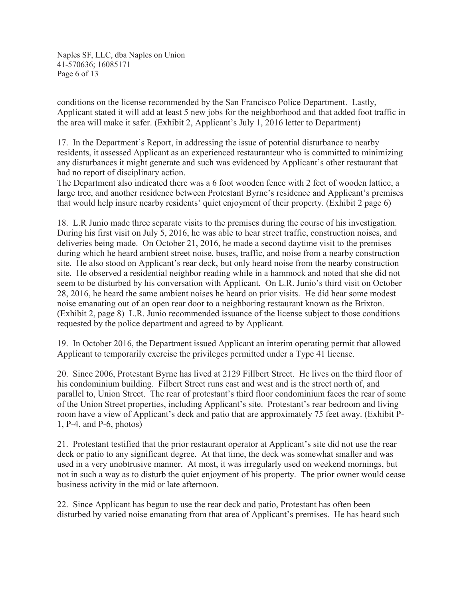Naples SF, LLC, dba Naples on Union 41-570636; 16085171 Page 6 of 13

conditions on the license recommended by the San Francisco Police Department. Lastly, Applicant stated it will add at least 5 new jobs for the neighborhood and that added foot traffic in the area will make it safer. (Exhibit 2, Applicant's July 1, 2016 letter to Department)

17. In the Department's Report, in addressing the issue of potential disturbance to nearby residents, it assessed Applicant as an experienced restauranteur who is committed to minimizing any disturbances it might generate and such was evidenced by Applicant's other restaurant that had no report of disciplinary action.

The Department also indicated there was a 6 foot wooden fence with 2 feet of wooden lattice, a large tree, and another residence between Protestant Byrne's residence and Applicant's premises that would help insure nearby residents' quiet enjoyment of their property. (Exhibit 2 page 6)

18. L.R Junio made three separate visits to the premises during the course of his investigation. During his first visit on July 5, 2016, he was able to hear street traffic, construction noises, and deliveries being made. On October 21, 2016, he made a second daytime visit to the premises during which he heard ambient street noise, buses, traffic, and noise from a nearby construction site. He also stood on Applicant's rear deck, but only heard noise from the nearby construction site. He observed a residential neighbor reading while in a hammock and noted that she did not seem to be disturbed by his conversation with Applicant. On L.R. Junio's third visit on October 28, 2016, he heard the same ambient noises he heard on prior visits. He did hear some modest noise emanating out of an open rear door to a neighboring restaurant known as the Brixton. (Exhibit 2, page 8) L.R. Junio recommended issuance of the license subject to those conditions requested by the police department and agreed to by Applicant.

19. In October 2016, the Department issued Applicant an interim operating permit that allowed Applicant to temporarily exercise the privileges permitted under a Type 41 license.

20. Since 2006, Protestant Byrne has lived at 2129 Fillbert Street. He lives on the third floor of his condominium building. Filbert Street runs east and west and is the street north of, and parallel to, Union Street. The rear of protestant's third floor condominium faces the rear of some of the Union Street properties, including Applicant's site. Protestant's rear bedroom and living room have a view of Applicant's deck and patio that are approximately 75 feet away. (Exhibit P-1, P-4, and P-6, photos)

21. Protestant testified that the prior restaurant operator at Applicant's site did not use the rear deck or patio to any significant degree. At that time, the deck was somewhat smaller and was used in a very unobtrusive manner. At most, it was irregularly used on weekend mornings, but not in such a way as to disturb the quiet enjoyment of his property. The prior owner would cease business activity in the mid or late afternoon.

22. Since Applicant has begun to use the rear deck and patio, Protestant has often been disturbed by varied noise emanating from that area of Applicant's premises. He has heard such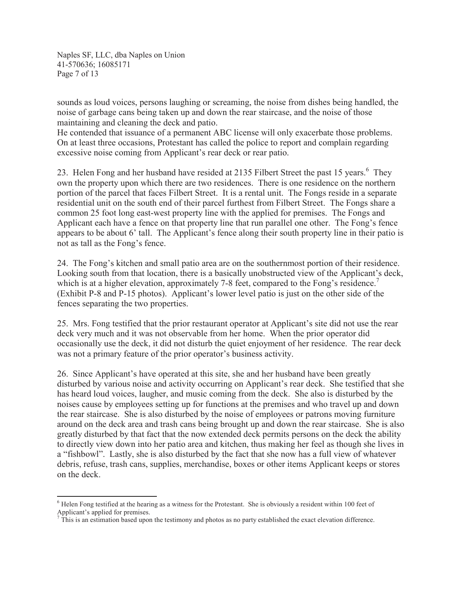Naples SF, LLC, dba Naples on Union 41-570636; 16085171 Page 7 of 13

sounds as loud voices, persons laughing or screaming, the noise from dishes being handled, the noise of garbage cans being taken up and down the rear staircase, and the noise of those maintaining and cleaning the deck and patio.

He contended that issuance of a permanent ABC license will only exacerbate those problems. On at least three occasions, Protestant has called the police to report and complain regarding excessive noise coming from Applicant's rear deck or rear patio.

23. Helen Fong and her husband have resided at 2135 Filbert Street the past 15 years.<sup>6</sup> They own the property upon which there are two residences. There is one residence on the northern portion of the parcel that faces Filbert Street. It is a rental unit. The Fongs reside in a separate residential unit on the south end of their parcel furthest from Filbert Street. The Fongs share a common 25 foot long east-west property line with the applied for premises. The Fongs and Applicant each have a fence on that property line that run parallel one other. The Fong's fence appears to be about 6' tall. The Applicant's fence along their south property line in their patio is not as tall as the Fong's fence.

24. The Fong's kitchen and small patio area are on the southernmost portion of their residence. Looking south from that location, there is a basically unobstructed view of the Applicant's deck, which is at a higher elevation, approximately 7-8 feet, compared to the Fong's residence.<sup>7</sup> (Exhibit P-8 and P-15 photos). Applicant's lower level patio is just on the other side of the fences separating the two properties.

25. Mrs. Fong testified that the prior restaurant operator at Applicant's site did not use the rear deck very much and it was not observable from her home. When the prior operator did occasionally use the deck, it did not disturb the quiet enjoyment of her residence. The rear deck was not a primary feature of the prior operator's business activity.

26. Since Applicant's have operated at this site, she and her husband have been greatly disturbed by various noise and activity occurring on Applicant's rear deck. She testified that she has heard loud voices, laugher, and music coming from the deck. She also is disturbed by the noises cause by employees setting up for functions at the premises and who travel up and down the rear staircase. She is also disturbed by the noise of employees or patrons moving furniture around on the deck area and trash cans being brought up and down the rear staircase. She is also greatly disturbed by that fact that the now extended deck permits persons on the deck the ability to directly view down into her patio area and kitchen, thus making her feel as though she lives in a "fishbowl". Lastly, she is also disturbed by the fact that she now has a full view of whatever debris, refuse, trash cans, supplies, merchandise, boxes or other items Applicant keeps or stores on the deck.

 $6$  Helen Fong testified at the hearing as a witness for the Protestant. She is obviously a resident within 100 feet of Applicant's applied for premises.

<sup>7</sup> This is an estimation based upon the testimony and photos as no party established the exact elevation difference.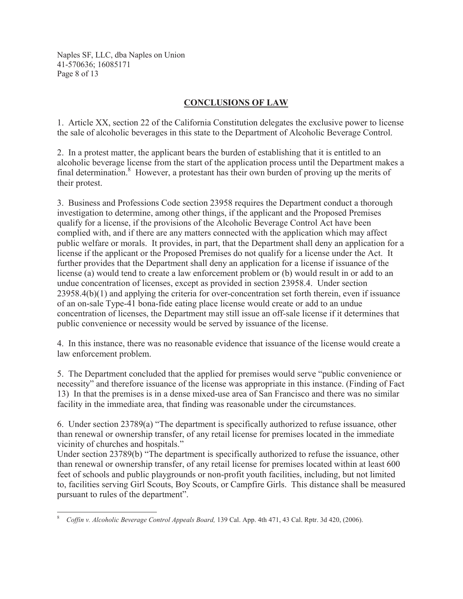Naples SF, LLC, dba Naples on Union 41-570636; 16085171 Page 8 of 13

# **CONCLUSIONS OF LAW**

1. Article XX, section 22 of the California Constitution delegates the exclusive power to license the sale of alcoholic beverages in this state to the Department of Alcoholic Beverage Control.

2. In a protest matter, the applicant bears the burden of establishing that it is entitled to an alcoholic beverage license from the start of the application process until the Department makes a final determination.<sup>8</sup> However, a protestant has their own burden of proving up the merits of their protest.

3. Business and Professions Code section 23958 requires the Department conduct a thorough investigation to determine, among other things, if the applicant and the Proposed Premises qualify for a license, if the provisions of the Alcoholic Beverage Control Act have been complied with, and if there are any matters connected with the application which may affect public welfare or morals. It provides, in part, that the Department shall deny an application for a license if the applicant or the Proposed Premises do not qualify for a license under the Act. It further provides that the Department shall deny an application for a license if issuance of the license (a) would tend to create a law enforcement problem or (b) would result in or add to an undue concentration of licenses, except as provided in section 23958.4. Under section 23958.4(b)(1) and applying the criteria for over-concentration set forth therein, even if issuance of an on-sale Type-41 bona-fide eating place license would create or add to an undue concentration of licenses, the Department may still issue an off-sale license if it determines that public convenience or necessity would be served by issuance of the license.

4. In this instance, there was no reasonable evidence that issuance of the license would create a law enforcement problem.

5. The Department concluded that the applied for premises would serve "public convenience or necessity" and therefore issuance of the license was appropriate in this instance. (Finding of Fact 13) In that the premises is in a dense mixed-use area of San Francisco and there was no similar facility in the immediate area, that finding was reasonable under the circumstances.

6. Under section 23789(a) "The department is specifically authorized to refuse issuance, other than renewal or ownership transfer, of any retail license for premises located in the immediate vicinity of churches and hospitals."

Under section 23789(b) "The department is specifically authorized to refuse the issuance, other than renewal or ownership transfer, of any retail license for premises located within at least 600 feet of schools and public playgrounds or non-profit youth facilities, including, but not limited to, facilities serving Girl Scouts, Boy Scouts, or Campfire Girls. This distance shall be measured pursuant to rules of the department".

*Coffin v. Alcoholic Beverage Control Appeals Board, 139 Cal. App. 4th 471, 43 Cal. Rptr. 3d 420, (2006).*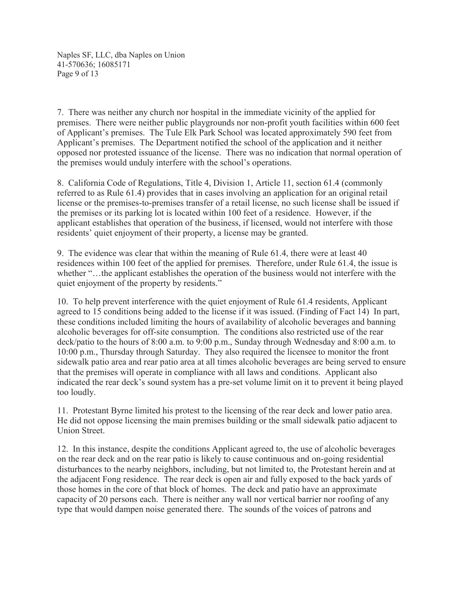Naples SF, LLC, dba Naples on Union 41-570636; 16085171 Page 9 of 13

7. There was neither any church nor hospital in the immediate vicinity of the applied for premises. There were neither public playgrounds nor non-profit youth facilities within 600 feet of Applicant's premises. The Tule Elk Park School was located approximately 590 feet from Applicant's premises. The Department notified the school of the application and it neither opposed nor protested issuance of the license. There was no indication that normal operation of the premises would unduly interfere with the school's operations.

8. California Code of Regulations, Title 4, Division 1, Article 11, section 61.4 (commonly referred to as Rule 61.4) provides that in cases involving an application for an original retail license or the premises-to-premises transfer of a retail license, no such license shall be issued if the premises or its parking lot is located within 100 feet of a residence. However, if the applicant establishes that operation of the business, if licensed, would not interfere with those residents' quiet enjoyment of their property, a license may be granted.

9. The evidence was clear that within the meaning of Rule 61.4, there were at least 40 residences within 100 feet of the applied for premises. Therefore, under Rule 61.4, the issue is whether "…the applicant establishes the operation of the business would not interfere with the quiet enjoyment of the property by residents."

10. To help prevent interference with the quiet enjoyment of Rule 61.4 residents, Applicant agreed to 15 conditions being added to the license if it was issued. (Finding of Fact 14) In part, these conditions included limiting the hours of availability of alcoholic beverages and banning alcoholic beverages for off-site consumption. The conditions also restricted use of the rear deck/patio to the hours of 8:00 a.m. to 9:00 p.m., Sunday through Wednesday and 8:00 a.m. to 10:00 p.m., Thursday through Saturday. They also required the licensee to monitor the front sidewalk patio area and rear patio area at all times alcoholic beverages are being served to ensure that the premises will operate in compliance with all laws and conditions. Applicant also indicated the rear deck's sound system has a pre-set volume limit on it to prevent it being played too loudly.

11. Protestant Byrne limited his protest to the licensing of the rear deck and lower patio area. He did not oppose licensing the main premises building or the small sidewalk patio adjacent to Union Street.

12. In this instance, despite the conditions Applicant agreed to, the use of alcoholic beverages on the rear deck and on the rear patio is likely to cause continuous and on-going residential disturbances to the nearby neighbors, including, but not limited to, the Protestant herein and at the adjacent Fong residence. The rear deck is open air and fully exposed to the back yards of those homes in the core of that block of homes. The deck and patio have an approximate capacity of 20 persons each. There is neither any wall nor vertical barrier nor roofing of any type that would dampen noise generated there. The sounds of the voices of patrons and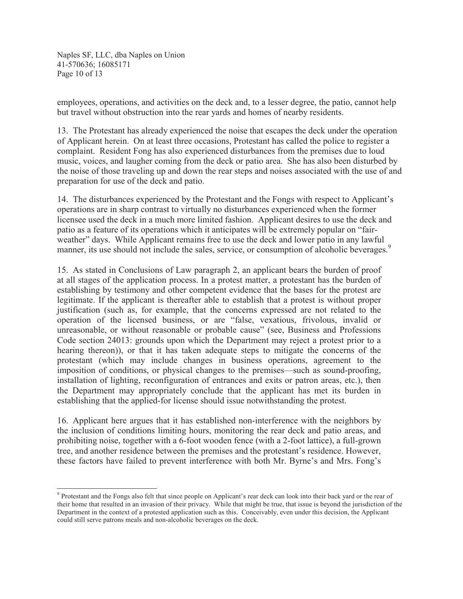Naples SF, LLC, dba Naples on Union 41-570636; 16085171 Page 10 of 13

employees, operations, and activities on the deck and, to a lesser degree, the patio, cannot help but travel without obstruction into the rear yards and homes of nearby residents.

13. The Protestant has already experienced the noise that escapes the deck under the operation of Applicant herein. On at least three occasions, Protestant has called the police to register a complaint. Resident Fong has also experienced disturbances from the premises due to loud music, voices, and laugher coming from the deck or patio area. She has also been disturbed by the noise of those traveling up and down the rear steps and noises associated with the use of and preparation for use of the deck and patio.

14. The disturbances experienced by the Protestant and the Fongs with respect to Applicant's operations are in sharp contrast to virtually no disturbances experienced when the former licensee used the deck in a much more limited fashion. Applicant desires to use the deck and patio as a feature of its operations which it anticipates will be extremely popular on "fairweather" days. While Applicant remains free to use the deck and lower patio in any lawful manner, its use should not include the sales, service, or consumption of alcoholic beverages.<sup>9</sup>

15. As stated in Conclusions of Law paragraph 2, an applicant bears the burden of proof at all stages of the application process. In a protest matter, a protestant has the burden of establishing by testimony and other competent evidence that the bases for the protest are legitimate. If the applicant is thereafter able to establish that a protest is without proper justification (such as, for example, that the concerns expressed are not related to the operation of the licensed business, or are "false, vexatious, frivolous, invalid or unreasonable, or without reasonable or probable cause" (see, Business and Professions Code section 24013: grounds upon which the Department may reject a protest prior to a hearing thereon)), or that it has taken adequate steps to mitigate the concerns of the protestant (which may include changes in business operations, agreement to the imposition of conditions, or physical changes to the premises—such as sound-proofing, installation of lighting, reconfiguration of entrances and exits or patron areas, etc.), then the Department may appropriately conclude that the applicant has met its burden in establishing that the applied-for license should issue notwithstanding the protest.

16. Applicant here argues that it has established non-interference with the neighbors by the inclusion of conditions limiting hours, monitoring the rear deck and patio areas, and prohibiting noise, together with a 6-foot wooden fence (with a 2-foot lattice), a full-grown tree, and another residence between the premises and the protestant's residence. However, these factors have failed to prevent interference with both Mr. Byrne's and Mrs. Fong's

<sup>&</sup>lt;sup>9</sup> Protestant and the Fongs also felt that since people on Applicant's rear deck can look into their back yard or the rear of their home that resulted in an invasion of their privacy. While that might be true, that issue is beyond the jurisdiction of the Department in the context of a protested application such as this. Conceivably, even under this decision, the Applicant could still serve patrons meals and non-alcoholic beverages on the deck.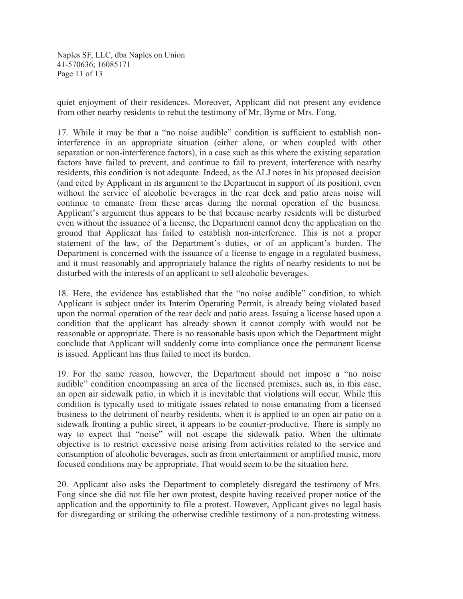Naples SF, LLC, dba Naples on Union 41-570636; 16085171 Page 11 of 13

quiet enjoyment of their residences. Moreover, Applicant did not present any evidence from other nearby residents to rebut the testimony of Mr. Byrne or Mrs. Fong.

17. While it may be that a "no noise audible" condition is sufficient to establish noninterference in an appropriate situation (either alone, or when coupled with other separation or non-interference factors), in a case such as this where the existing separation factors have failed to prevent, and continue to fail to prevent, interference with nearby residents, this condition is not adequate. Indeed, as the ALJ notes in his proposed decision (and cited by Applicant in its argument to the Department in support of its position), even without the service of alcoholic beverages in the rear deck and patio areas noise will continue to emanate from these areas during the normal operation of the business. Applicant's argument thus appears to be that because nearby residents will be disturbed even without the issuance of a license, the Department cannot deny the application on the ground that Applicant has failed to establish non-interference. This is not a proper statement of the law, of the Department's duties, or of an applicant's burden. The Department is concerned with the issuance of a license to engage in a regulated business, and it must reasonably and appropriately balance the rights of nearby residents to not be disturbed with the interests of an applicant to sell alcoholic beverages.

18. Here, the evidence has established that the "no noise audible" condition, to which Applicant is subject under its Interim Operating Permit, is already being violated based upon the normal operation of the rear deck and patio areas. Issuing a license based upon a condition that the applicant has already shown it cannot comply with would not be reasonable or appropriate. There is no reasonable basis upon which the Department might conclude that Applicant will suddenly come into compliance once the permanent license is issued. Applicant has thus failed to meet its burden.

19. For the same reason, however, the Department should not impose a "no noise audible" condition encompassing an area of the licensed premises, such as, in this case, an open air sidewalk patio, in which it is inevitable that violations will occur. While this condition is typically used to mitigate issues related to noise emanating from a licensed business to the detriment of nearby residents, when it is applied to an open air patio on a sidewalk fronting a public street, it appears to be counter-productive. There is simply no way to expect that "noise" will not escape the sidewalk patio. When the ultimate objective is to restrict excessive noise arising from activities related to the service and consumption of alcoholic beverages, such as from entertainment or amplified music, more focused conditions may be appropriate. That would seem to be the situation here.

20. Applicant also asks the Department to completely disregard the testimony of Mrs. Fong since she did not file her own protest, despite having received proper notice of the application and the opportunity to file a protest. However, Applicant gives no legal basis for disregarding or striking the otherwise credible testimony of a non-protesting witness.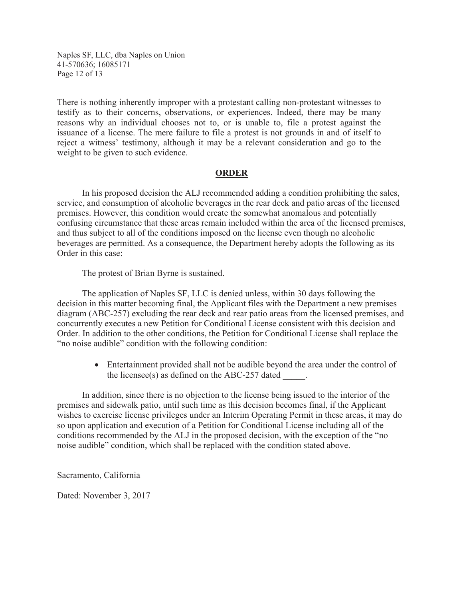Naples SF, LLC, dba Naples on Union 41-570636; 16085171 Page 12 of 13

There is nothing inherently improper with a protestant calling non-protestant witnesses to testify as to their concerns, observations, or experiences. Indeed, there may be many reasons why an individual chooses not to, or is unable to, file a protest against the issuance of a license. The mere failure to file a protest is not grounds in and of itself to reject a witness' testimony, although it may be a relevant consideration and go to the weight to be given to such evidence.

#### **ORDER**

In his proposed decision the ALJ recommended adding a condition prohibiting the sales, service, and consumption of alcoholic beverages in the rear deck and patio areas of the licensed premises. However, this condition would create the somewhat anomalous and potentially confusing circumstance that these areas remain included within the area of the licensed premises, and thus subject to all of the conditions imposed on the license even though no alcoholic beverages are permitted. As a consequence, the Department hereby adopts the following as its Order in this case:

The protest of Brian Byrne is sustained.

The application of Naples SF, LLC is denied unless, within 30 days following the decision in this matter becoming final, the Applicant files with the Department a new premises diagram (ABC-257) excluding the rear deck and rear patio areas from the licensed premises, and concurrently executes a new Petition for Conditional License consistent with this decision and Order. In addition to the other conditions, the Petition for Conditional License shall replace the "no noise audible" condition with the following condition:

> • Entertainment provided shall not be audible beyond the area under the control of the licensee(s) as defined on the ABC-257 dated

In addition, since there is no objection to the license being issued to the interior of the premises and sidewalk patio, until such time as this decision becomes final, if the Applicant wishes to exercise license privileges under an Interim Operating Permit in these areas, it may do so upon application and execution of a Petition for Conditional License including all of the conditions recommended by the ALJ in the proposed decision, with the exception of the "no noise audible" condition, which shall be replaced with the condition stated above.

Sacramento, California

Dated: November 3, 2017